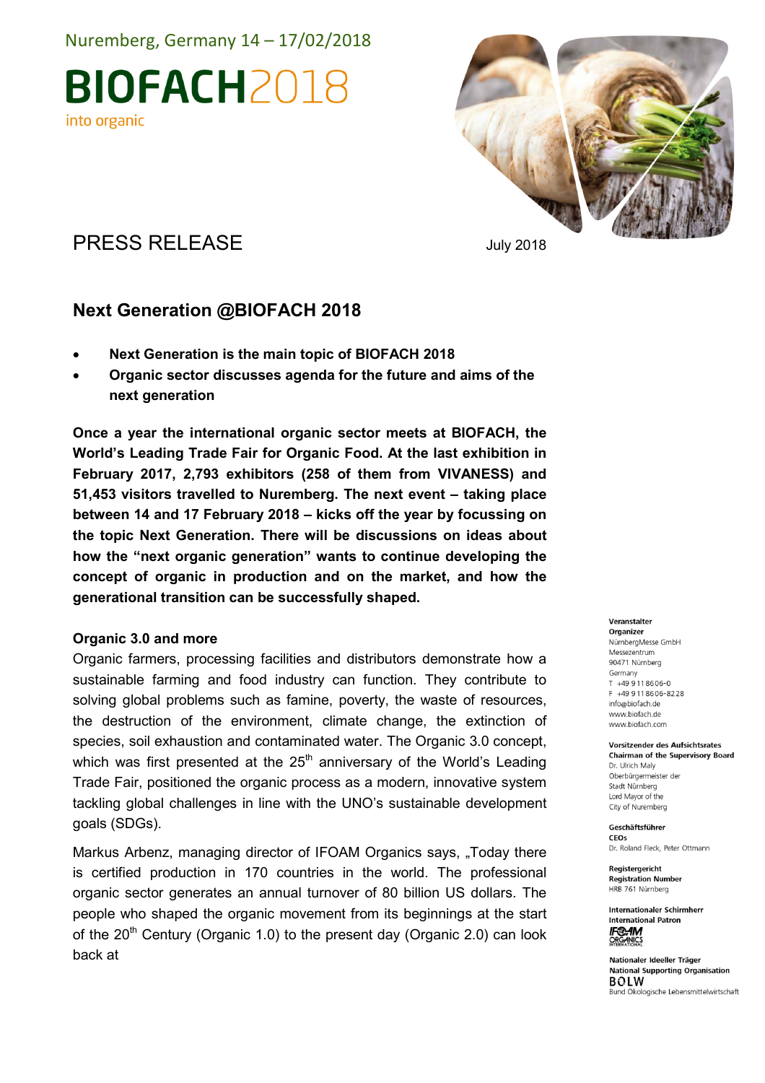Nuremberg, Germany 14 – 17/02/2018

**BIOFACH2018** into organic



## PRESS RELEASE July 2018

## Next Generation @BIOFACH 2018

- Next Generation is the main topic of BIOFACH 2018
- Organic sector discusses agenda for the future and aims of the next generation

Once a year the international organic sector meets at BIOFACH, the World's Leading Trade Fair for Organic Food. At the last exhibition in February 2017, 2,793 exhibitors (258 of them from VIVANESS) and 51,453 visitors travelled to Nuremberg. The next event – taking place between 14 and 17 February 2018 – kicks off the year by focussing on the topic Next Generation. There will be discussions on ideas about how the "next organic generation" wants to continue developing the concept of organic in production and on the market, and how the generational transition can be successfully shaped.

### Organic 3.0 and more

Organic farmers, processing facilities and distributors demonstrate how a sustainable farming and food industry can function. They contribute to solving global problems such as famine, poverty, the waste of resources, the destruction of the environment, climate change, the extinction of species, soil exhaustion and contaminated water. The Organic 3.0 concept, which was first presented at the  $25<sup>th</sup>$  anniversary of the World's Leading Trade Fair, positioned the organic process as a modern, innovative system tackling global challenges in line with the UNO's sustainable development goals (SDGs).

Markus Arbenz, managing director of IFOAM Organics says, "Today there is certified production in 170 countries in the world. The professional organic sector generates an annual turnover of 80 billion US dollars. The people who shaped the organic movement from its beginnings at the start of the  $20<sup>th</sup>$  Century (Organic 1.0) to the present day (Organic 2.0) can look back at

#### Veranstalter

Organizer NürnbergMesse GmbH Messezentrum 90471 Nürnberg Germany T +49 9 11 86 06-0 F +49 9 11 86 06 - 82 28 info@biofach.de www.biofach.de www.biofach.com

#### **Vorsitzender des Aufsichtsrates Chairman of the Supervisory Board** Dr. Ulrich Maly Oberbürgermeister der Stadt Nürnberg

Lord Mayor of the City of Nuremberg Geschäftsführer

**CEOs** Dr. Roland Fleck, Peter Ottmann

Reaisteraericht **Registration Number** HRB 761 Nürnberg

**Internationaler Schirmherr International Patron IF®AM ORGANICS** 

Nationaler Ideeller Träger **National Supporting Organisation BOLW** Bund Ökologische Lebensmittelwirtschaft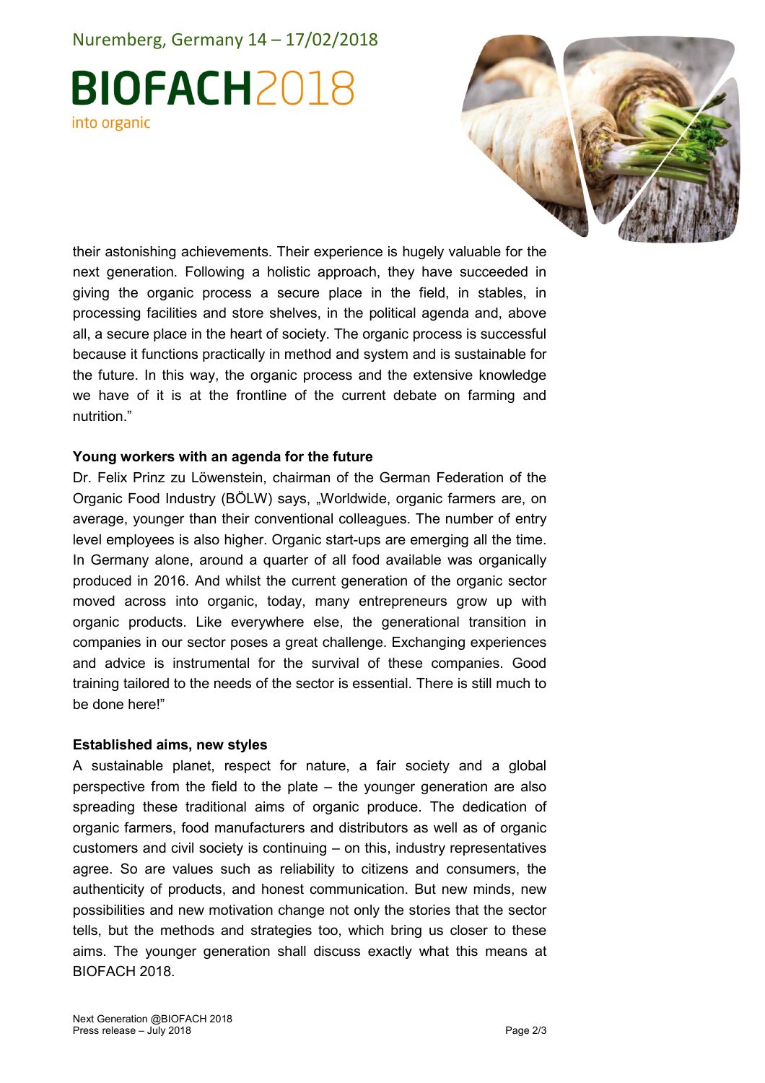## Nuremberg, Germany 14 – 17/02/2018

# **BIOFACH2018** into organic



their astonishing achievements. Their experience is hugely valuable for the next generation. Following a holistic approach, they have succeeded in giving the organic process a secure place in the field, in stables, in processing facilities and store shelves, in the political agenda and, above all, a secure place in the heart of society. The organic process is successful because it functions practically in method and system and is sustainable for the future. In this way, the organic process and the extensive knowledge we have of it is at the frontline of the current debate on farming and nutrition."

### Young workers with an agenda for the future

Dr. Felix Prinz zu Löwenstein, chairman of the German Federation of the Organic Food Industry (BÖLW) says, "Worldwide, organic farmers are, on average, younger than their conventional colleagues. The number of entry level employees is also higher. Organic start-ups are emerging all the time. In Germany alone, around a quarter of all food available was organically produced in 2016. And whilst the current generation of the organic sector moved across into organic, today, many entrepreneurs grow up with organic products. Like everywhere else, the generational transition in companies in our sector poses a great challenge. Exchanging experiences and advice is instrumental for the survival of these companies. Good training tailored to the needs of the sector is essential. There is still much to be done here!"

### Established aims, new styles

A sustainable planet, respect for nature, a fair society and a global perspective from the field to the plate – the younger generation are also spreading these traditional aims of organic produce. The dedication of organic farmers, food manufacturers and distributors as well as of organic customers and civil society is continuing – on this, industry representatives agree. So are values such as reliability to citizens and consumers, the authenticity of products, and honest communication. But new minds, new possibilities and new motivation change not only the stories that the sector tells, but the methods and strategies too, which bring us closer to these aims. The younger generation shall discuss exactly what this means at BIOFACH 2018.